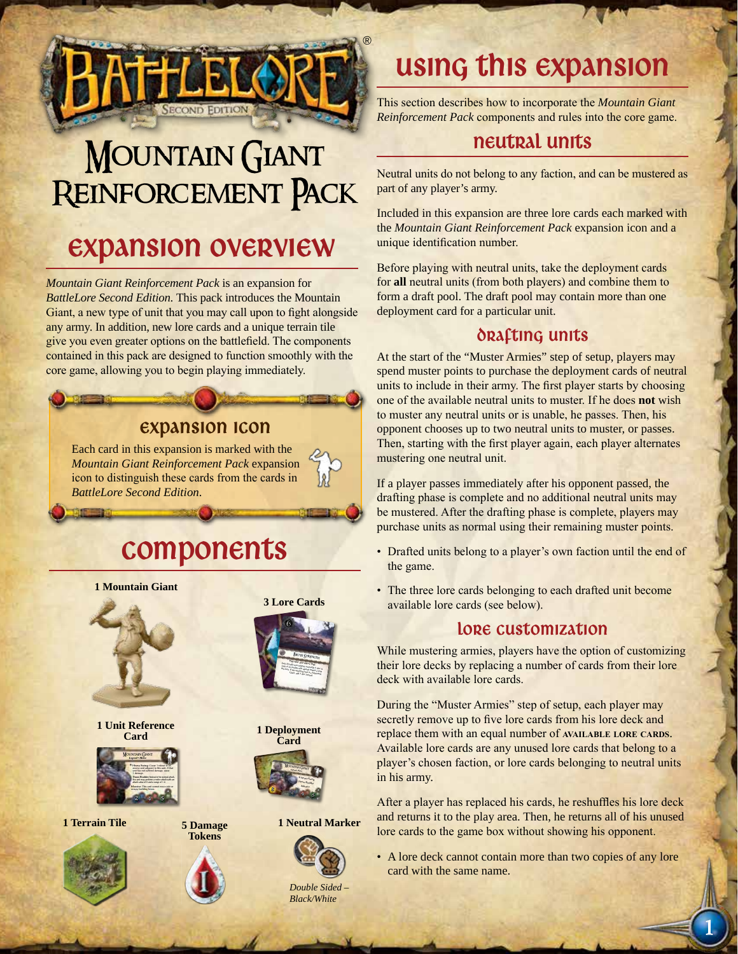

# **MOUNTAIN GIANT** Reinforcement Pack

### Expansion Overview

*Mountain Giant Reinforcement Pack* is an expansion for *BattleLore Second Edition.* This pack introduces the Mountain Giant, a new type of unit that you may call upon to fight alongside any army. In addition, new lore cards and a unique terrain tile give you even greater options on the battlefield. The components contained in this pack are designed to function smoothly with the core game, allowing you to begin playing immediately.

#### Expansion Icon

Each card in this expansion is marked with the *Mountain Giant Reinforcement Pack* expansion icon to distinguish these cards from the cards in *BattleLore Second Edition*.

# Components



**1 Unit Reference Card**



**1 Terrain Tile**





**5 Damage Tokens**



**3 Lore Cards**

**1 Deployment Card**



**1 Neutral Marker**



*Double Sided – Black/White*

# using this expansion

This section describes how to incorporate the *Mountain Giant Reinforcement Pack* components and rules into the core game.

### neutral units

Neutral units do not belong to any faction, and can be mustered as part of any player's army.

Included in this expansion are three lore cards each marked with the *Mountain Giant Reinforcement Pack* expansion icon and a unique identification number.

Before playing with neutral units, take the deployment cards for **all** neutral units (from both players) and combine them to form a draft pool. The draft pool may contain more than one deployment card for a particular unit.

#### DRAFTING UNITS

At the start of the "Muster Armies" step of setup, players may spend muster points to purchase the deployment cards of neutral units to include in their army. The first player starts by choosing one of the available neutral units to muster. If he does **not** wish to muster any neutral units or is unable, he passes. Then, his opponent chooses up to two neutral units to muster, or passes. Then, starting with the first player again, each player alternates mustering one neutral unit.

If a player passes immediately after his opponent passed, the drafting phase is complete and no additional neutral units may be mustered. After the drafting phase is complete, players may purchase units as normal using their remaining muster points.

- Drafted units belong to a player's own faction until the end of the game.
- The three lore cards belonging to each drafted unit become available lore cards (see below).

#### LORE CUSTOMIZATION

While mustering armies, players have the option of customizing their lore decks by replacing a number of cards from their lore deck with available lore cards.

During the "Muster Armies" step of setup, each player may secretly remove up to five lore cards from his lore deck and replace them with an equal number of **AVAILABLE** LORE CARDS. Available lore cards are any unused lore cards that belong to a player's chosen faction, or lore cards belonging to neutral units in his army.

After a player has replaced his cards, he reshuffles his lore deck and returns it to the play area. Then, he returns all of his unused lore cards to the game box without showing his opponent.

- A lore deck cannot contain more than two copies of any lore card with the same name.
- 1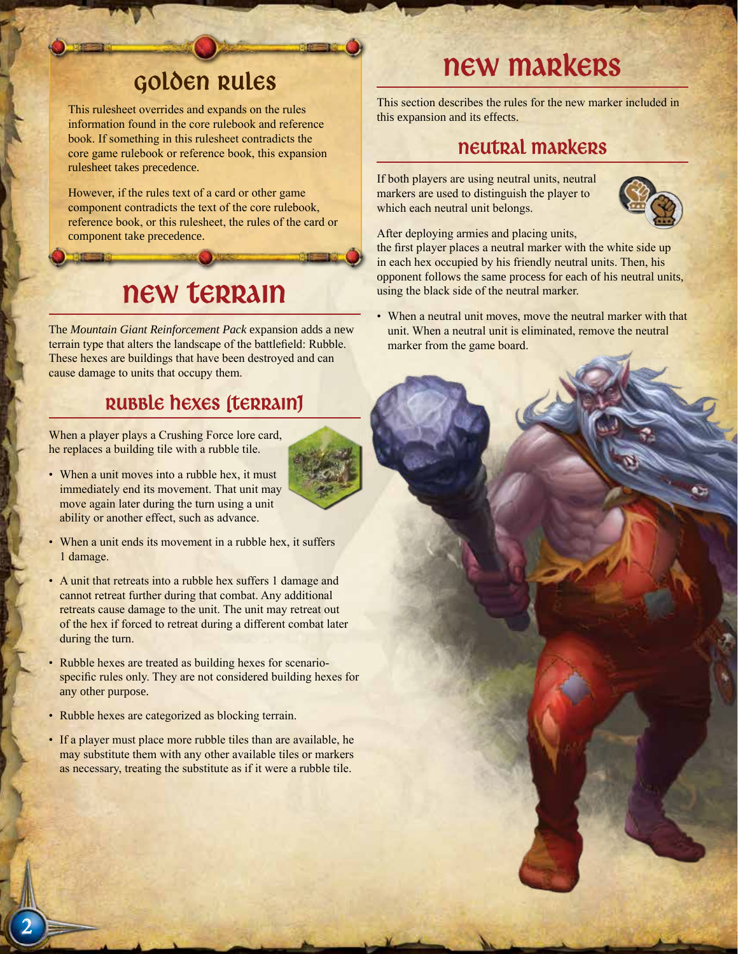### Golden Rules

This rulesheet overrides and expands on the rules information found in the core rulebook and reference book. If something in this rulesheet contradicts the core game rulebook or reference book, this expansion rulesheet takes precedence.

However, if the rules text of a card or other game component contradicts the text of the core rulebook, reference book, or this rulesheet, the rules of the card or component take precedence.

### new terrain

The *Mountain Giant Reinforcement Pack* expansion adds a new terrain type that alters the landscape of the battlefield: Rubble. These hexes are buildings that have been destroyed and can cause damage to units that occupy them.

### Rubble hexes (terrain)

When a player plays a Crushing Force lore card, he replaces a building tile with a rubble tile.

- When a unit moves into a rubble hex, it must immediately end its movement. That unit may move again later during the turn using a unit ability or another effect, such as advance.
- When a unit ends its movement in a rubble hex, it suffers 1 damage.
- A unit that retreats into a rubble hex suffers 1 damage and cannot retreat further during that combat. Any additional retreats cause damage to the unit. The unit may retreat out of the hex if forced to retreat during a different combat later during the turn.
- Rubble hexes are treated as building hexes for scenariospecific rules only. They are not considered building hexes for any other purpose.
- Rubble hexes are categorized as blocking terrain.
- If a player must place more rubble tiles than are available, he may substitute them with any other available tiles or markers as necessary, treating the substitute as if it were a rubble tile.

## new markers

This section describes the rules for the new marker included in this expansion and its effects.

### neutral Markers

If both players are using neutral units, neutral markers are used to distinguish the player to which each neutral unit belongs.



After deploying armies and placing units, the first player places a neutral marker with the white side up

in each hex occupied by his friendly neutral units. Then, his opponent follows the same process for each of his neutral units, using the black side of the neutral marker.

• When a neutral unit moves, move the neutral marker with that unit. When a neutral unit is eliminated, remove the neutral marker from the game board.

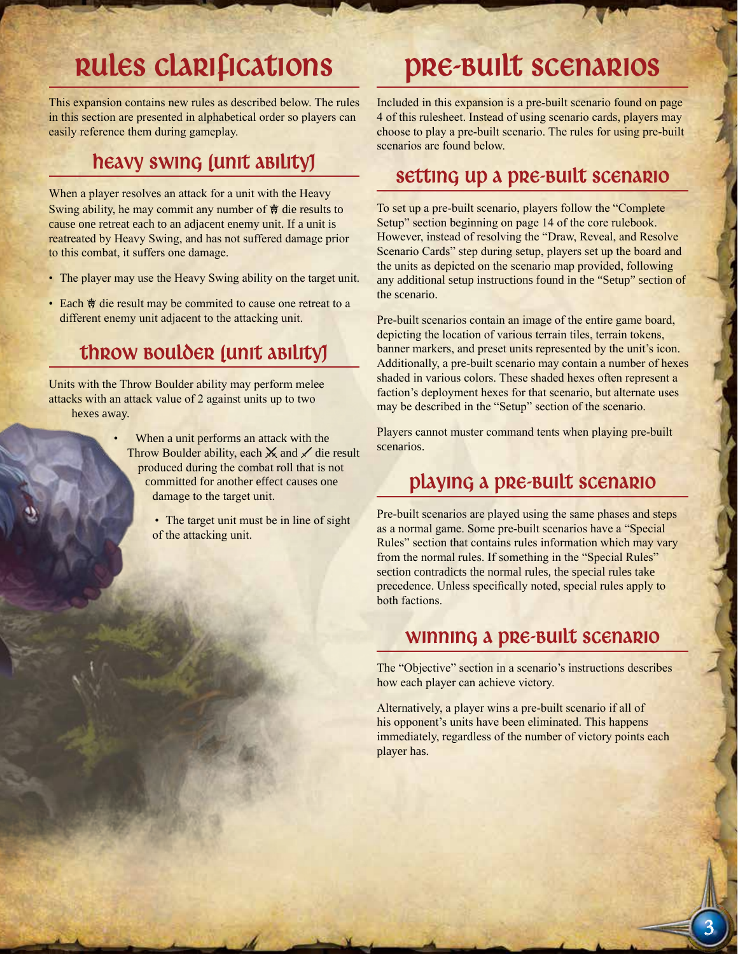# Rules Clarifications

This expansion contains new rules as described below. The rules in this section are presented in alphabetical order so players can easily reference them during gameplay.

### heavy swing (unit ability)

When a player resolves an attack for a unit with the Heavy Swing ability, he may commit any number of  $\dot{\mathcal{F}}$  die results to cause one retreat each to an adjacent enemy unit. If a unit is reatreated by Heavy Swing, and has not suffered damage prior to this combat, it suffers one damage.

- The player may use the Heavy Swing ability on the target unit.
- Each  $\dagger$  die result may be commited to cause one retreat to a different enemy unit adjacent to the attacking unit.

### Throw Boulder (unit ability)

Units with the Throw Boulder ability may perform melee attacks with an attack value of 2 against units up to two hexes away.

> When a unit performs an attack with the Throw Boulder ability, each  $\mathsf{\times}$  and  $\mathsf{\times}$  die result produced during the combat roll that is not committed for another effect causes one damage to the target unit.

> > • The target unit must be in line of sight of the attacking unit.

## Pre-Built Scenarios

Included in this expansion is a pre-built scenario found on page 4 of this rulesheet. Instead of using scenario cards, players may choose to play a pre-built scenario. The rules for using pre-built scenarios are found below.

#### Setting up a pre-built scenario

To set up a pre-built scenario, players follow the "Complete Setup" section beginning on page 14 of the core rulebook. However, instead of resolving the "Draw, Reveal, and Resolve Scenario Cards" step during setup, players set up the board and the units as depicted on the scenario map provided, following any additional setup instructions found in the "Setup" section of the scenario.

Pre-built scenarios contain an image of the entire game board, depicting the location of various terrain tiles, terrain tokens, banner markers, and preset units represented by the unit's icon. Additionally, a pre-built scenario may contain a number of hexes shaded in various colors. These shaded hexes often represent a faction's deployment hexes for that scenario, but alternate uses may be described in the "Setup" section of the scenario.

Players cannot muster command tents when playing pre-built scenarios.

### Playing a pre-built scenario

Pre-built scenarios are played using the same phases and steps as a normal game. Some pre-built scenarios have a "Special Rules" section that contains rules information which may vary from the normal rules. If something in the "Special Rules" section contradicts the normal rules, the special rules take precedence. Unless specifically noted, special rules apply to both factions.

#### Winning a pre-built Scenario

The "Objective" section in a scenario's instructions describes how each player can achieve victory.

Alternatively, a player wins a pre-built scenario if all of his opponent's units have been eliminated. This happens immediately, regardless of the number of victory points each player has.